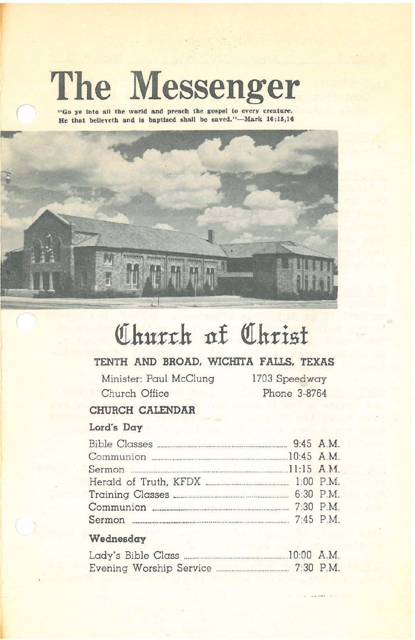# **The Messenger**

"Go ye into all the world and preach the gospel to every creature. He that believeth and is baptized shall be saved."-Mark 16:15,16



# Church of Christ

# TENTH AND BROAD. WICHITA FALLS. TEXAS

Minister: Paul McClung Church Office

1703 Speedway Phone 3-8764

## CHURCH CALENDAR

## Lord's Day

| Communion 2008 2010 20:45 A.M. |  |
|--------------------------------|--|
|                                |  |
|                                |  |
|                                |  |
|                                |  |
|                                |  |
|                                |  |

#### Wednesday

| Lady's Bible Class.     | 10:00 A.M. |             |
|-------------------------|------------|-------------|
| Evening Worship Service |            | $7:30$ P.M. |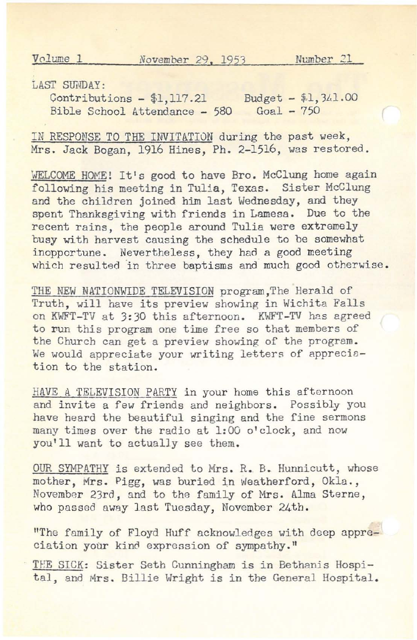Volume 1 *November* 29 **,** 1953 Number 21

LAST SUMDAY:

Contributions - \$1,117.21 Budget - \$1,341.00 Bible School Attendance - 580 Goal - 750

IN RESPONSE TO THE INVITATION during the past week. Mrs. Jack Bogan, 1916 Hines, Ph. 2-1516, was restored.

WELCOME HOME! It's good to have Bro. McClung home again following his meeting in Tulia, Texas. Sister McClung and the children joined him last Wednesday, and they spent Thanksgiving with friends in Lamesa. Due to the recent rains, the people around Tulia were extremely busy with harvest causing the schedule to be somewhat inopportune. Nevertheless, they had a good meeting which resulted in three baptisms and much good otherwise.

THE NEW NATIONWIDE TELEVISION program,The Herald of Truth, will have its preview showing in Wichita Falls on KWFT-TV at 3:30 this afternoon. KWFT-TV has agreed to run this program one time free so that members of the Church can get a preview showing of the program. We would appreciate your writing letters of appreciation to the station.

HAVE A TELEVISION PARTY in your home this afternoon and invite a few friends and neighbors. Possibly you have heard the beautiful singing and the fine sermons many times over the radio at 1:00 o'clock, and now you'll want to actually see them.

OUR SYMPATHY is extended to Mrs. R. B. Hunnicutt, whose mother, Mrs. Pigg, was buried in Weatherford, Okla., November 23rd, and to the family of Mrs. Alma Sterne, who passed away last Tuesday, November 24th.

"The family of Floyd Huff acknowledges with deep appreciation your kind expression of sympathy."

THE SICK: Sister Seth Cunningham is in Bethanis Hospital, and Mrs. Billie Wright is in the General Hospital.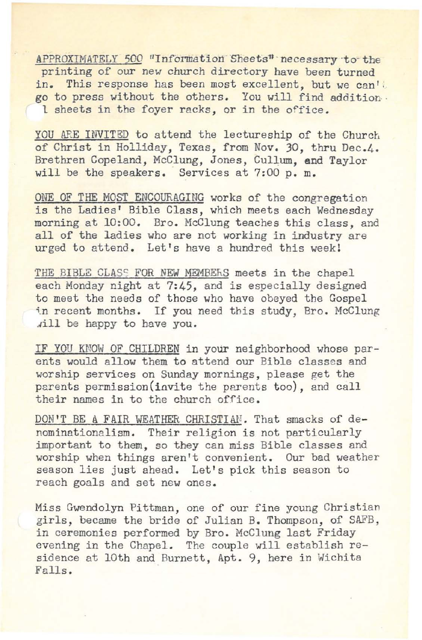APPROXIMATELY 500 "Information Sheets" necessary to the printing of our new church directory have been turned in. This response has been most excellent, but we can't go to press without the others. You will find addition· 1 sheets *in* the foyer racks, or in the office.

YOU ARE INVITED to attend the lectureship of the Church of Christ in Holliday, Texas, from Nov. 30, thru Dec.4. Brethren Copeland, McClung, Jones, Cullum, and Taylor will be the speakers. Services at 7:00 p. m.

ONE OF THE MOST ENCOURAGING works of the congregation is the Ladies' Bible Class, which meets each Wednesday morning at 10:00. Bro. McClung teaches this class, and all of the ladies who are not working *in* industry are urged to attend. Let's have a hundred this week!

THE BIBLE CLASS FOR NEW MEMBEhS meets *in* the chapel each Monday night at 7:45, and *is* especially designed to meet the needs of those who have obeyed the Gospel in recent months. If you need this study, Bro. McClung ~ill be happy to have you.

IF YOU KNOW OF CHILDREN in your neighborhood whose parents would allow them to attend our Bible classes and worship services on Sunday mornings, please get the parents permission(invite the parents too), and call their names in to the church office.

DON'T BE A FAIR WEATHER CHRISTIAN. That smacks of denominationalism. Their religion is not particularly important to them, so they can miss Bible classes and worship when things aren't convenient. Our bad weather season lies just ahead. Let's pick this season to reach goals and set new ones.

Miss Gwendolyn Pittman, one of our fine young Christian girls, became the bride of Julian B. Thompson, of SAFB, in ceremonies performed by Bro. McClung last Friday evening in the Chapel. The couple will establish residence at lOth and Burnett, Apt. 9, here *in* Wichita Falls.